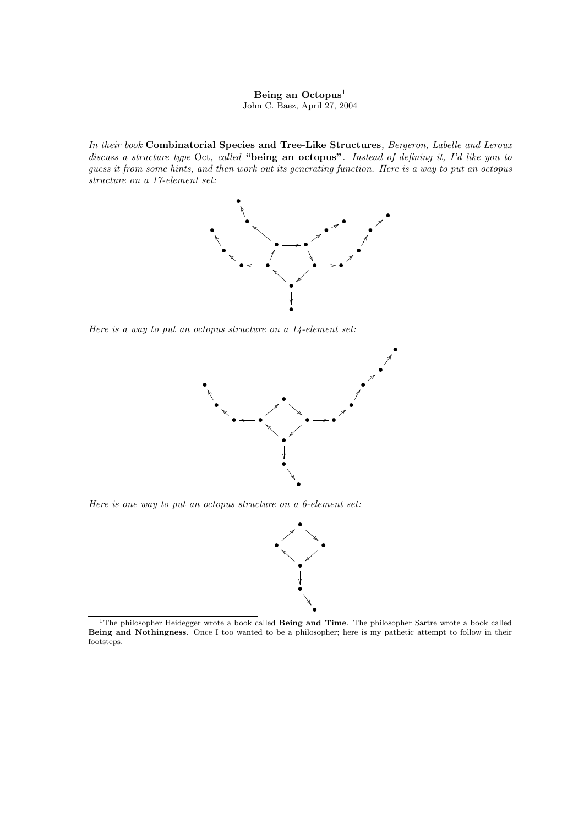## Being an Octopus<sup>1</sup> John C. Baez, April 27, 2004

In their book Combinatorial Species and Tree-Like Structures, Bergeron, Labelle and Leroux discuss a structure type Oct, called "being an octopus". Instead of defining it, I'd like you to guess it from some hints, and then work out its generating function. Here is a way to put an octopus structure on a 17-element set:



Here is a way to put an octopus structure on a 14-element set:



Here is one way to put an octopus structure on a 6-element set:



<sup>&</sup>lt;sup>1</sup>The philosopher Heidegger wrote a book called Being and Time. The philosopher Sartre wrote a book called Being and Nothingness. Once I too wanted to be a philosopher; here is my pathetic attempt to follow in their footsteps.